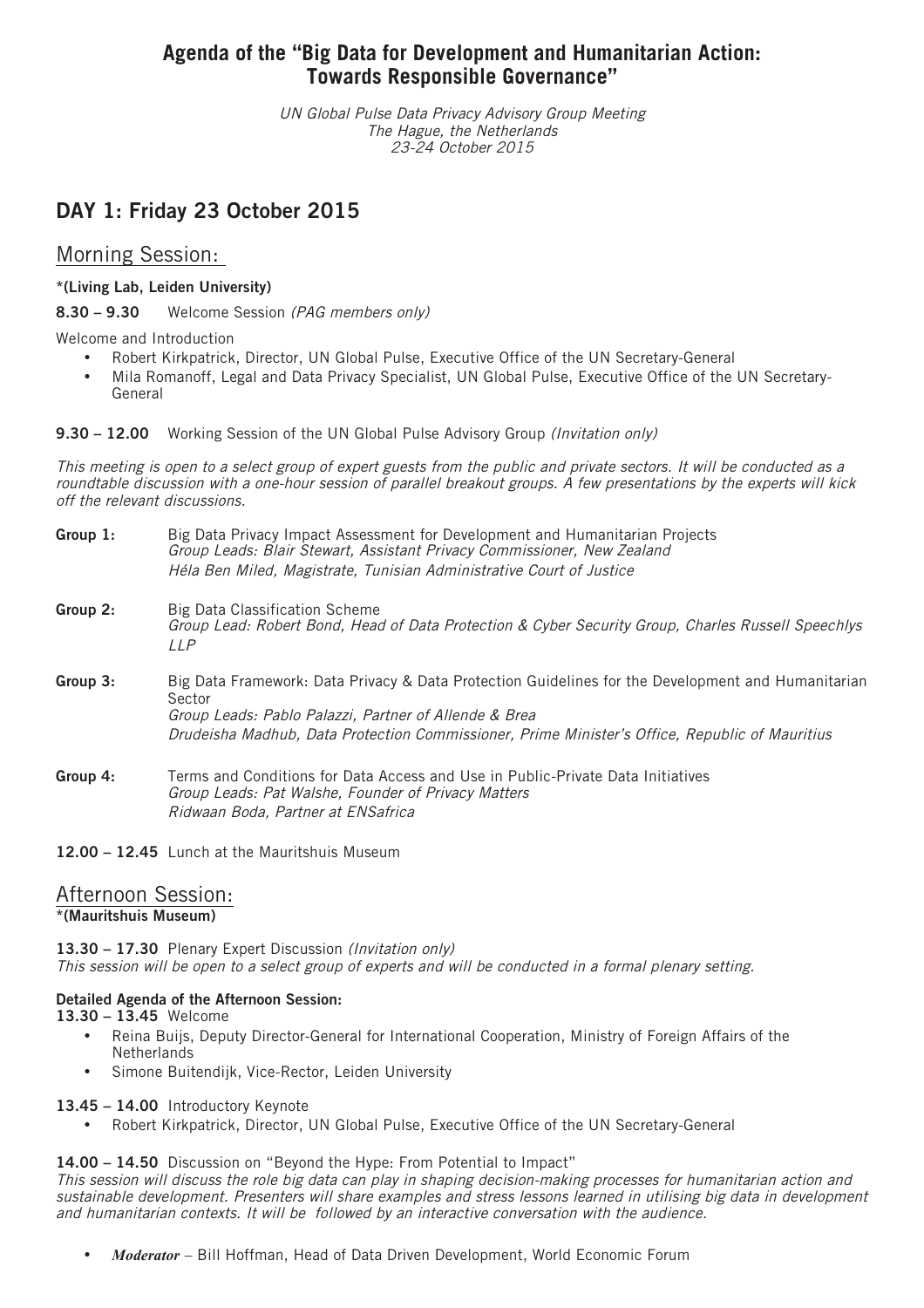# **Agenda of the "Big Data for Development and Humanitarian Action: Towards Responsible Governance"**

UN Global Pulse Data Privacy Advisory Group Meeting The Hague, the Netherlands 23-24 October 2015

# **DAY 1: Friday 23 October 2015**

# Morning Session:

# **\*(Living Lab, Leiden University)**

**8.30 – 9.30** Welcome Session (PAG members only)

Welcome and Introduction

- Robert Kirkpatrick, Director, UN Global Pulse, Executive Office of the UN Secretary-General
- Mila Romanoff, Legal and Data Privacy Specialist, UN Global Pulse, Executive Office of the UN Secretary-General

**9.30 – 12.00** Working Session of the UN Global Pulse Advisory Group (Invitation only)

This meeting is open to <sup>a</sup> select group of expert guests from the public and private sectors. It will be conducted as <sup>a</sup> roundtable discussion with <sup>a</sup> one-hour session of parallel breakout groups. A few presentations by the experts will kick off the relevant discussions.

| Group 1: | Big Data Privacy Impact Assessment for Development and Humanitarian Projects |
|----------|------------------------------------------------------------------------------|
|          | Group Leads: Blair Stewart, Assistant Privacy Commissioner, New Zealand      |
|          | Héla Ben Miled, Magistrate, Tunisian Administrative Court of Justice         |

- **Group 2:** Big Data Classification Scheme Group Lead: Robert Bond, Head of Data Protection & Cyber Security Group, Charles Russell Speechlys LLP
- **Group 3:** Big Data Framework: Data Privacy & Data Protection Guidelines for the Development and Humanitarian Sector Group Leads: Pablo Palazzi, Partner of Allende & Brea Drudeisha Madhub, Data Protection Commissioner, Prime Minister's Office, Republic of Mauritius
- **Group 4:** Terms and Conditions for Data Access and Use in Public-Private Data Initiatives Group Leads: Pat Walshe, Founder of Privacy Matters Ridwaan Boda, Partner at ENSafrica

**12.00 – 12.45** Lunch at the Mauritshuis Museum

## Afternoon Session: **\*(Mauritshuis Museum)**

**13.30 – 17.30** Plenary Expert Discussion (Invitation only) This session will be open to <sup>a</sup> select group of experts and will be conducted in <sup>a</sup> formal plenary setting.

# **Detailed Agenda of the Afternoon Session:**

**13.30 – 13.45** Welcome

- Reina Buijs, Deputy Director-General for International Cooperation, Ministry of Foreign Affairs of the **Netherlands**
- Simone Buitendijk, Vice-Rector, Leiden University

## **13.45 – 14.00** Introductory Keynote

• Robert Kirkpatrick, Director, UN Global Pulse, Executive Office of the UN Secretary-General

**14.00 – 14.50** Discussion on "Beyond the Hype: From Potential to Impact"

This session will discuss the role big data can play in shaping decision-making processes for humanitarian action and sustainable development. Presenters will share examples and stress lessons learned in utilising big data in development and humanitarian contexts. It will be followed by an interactive conversation with the audience.

• *Moderator* – Bill Hoffman, Head of Data Driven Development, World Economic Forum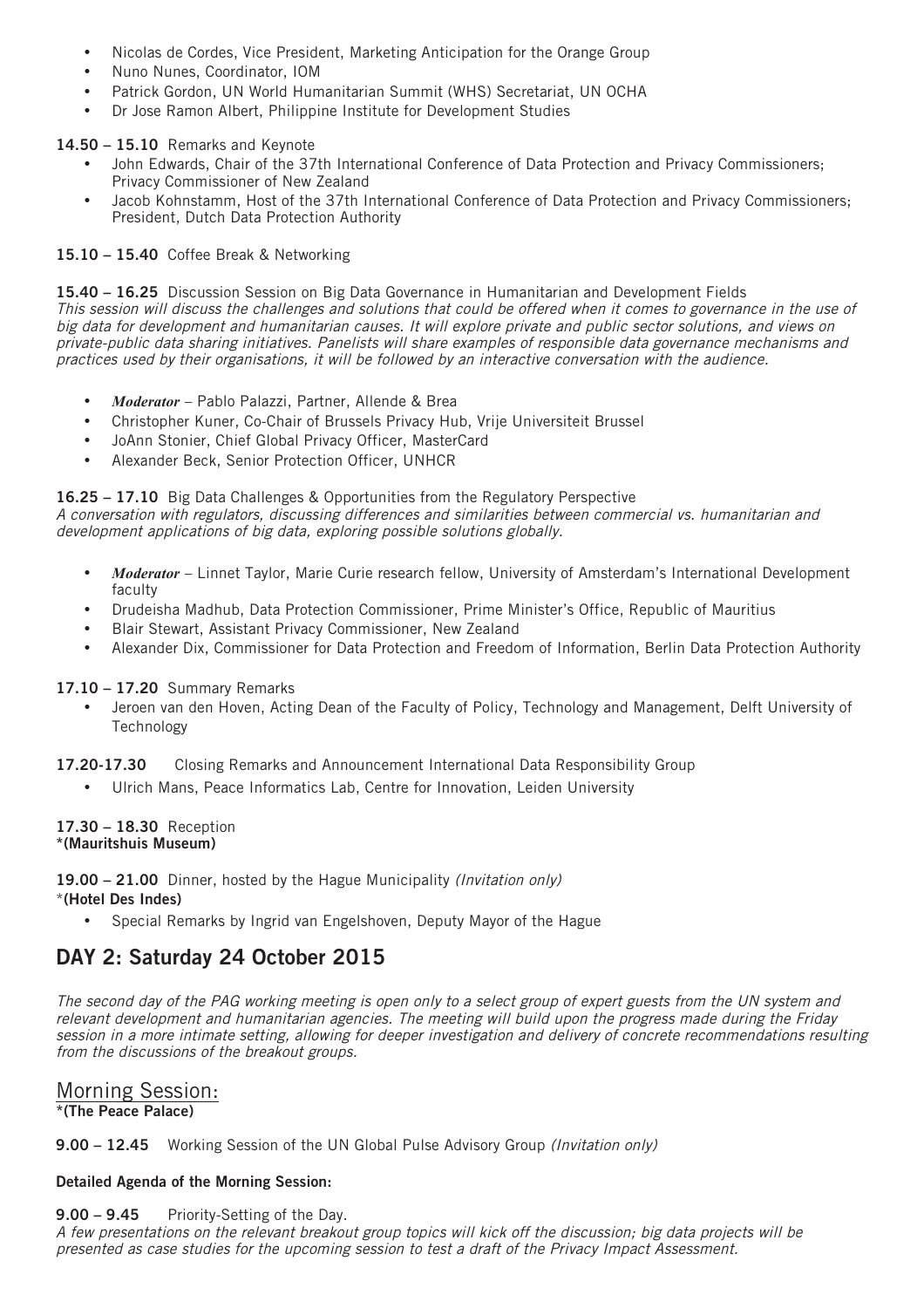- Nicolas de Cordes, Vice President, Marketing Anticipation for the Orange Group
- Nuno Nunes, Coordinator, IOM
- Patrick Gordon, UN World Humanitarian Summit (WHS) Secretariat, UN OCHA
- Dr Jose Ramon Albert, Philippine Institute for Development Studies

## **14.50 – 15.10** Remarks and Keynote

- John Edwards, Chair of the 37th International Conference of Data Protection and Privacy Commissioners; Privacy Commissioner of New Zealand
- Jacob Kohnstamm, Host of the 37th International Conference of Data Protection and Privacy Commissioners; President, Dutch Data Protection Authority

# **15.10 – 15.40** Coffee Break & Networking

**15.40 – 16.25** Discussion Session on Big Data Governance in Humanitarian and Development Fields This session will discuss the challenges and solutions that could be offered when it comes to governance in the use of big data for development and humanitarian causes. It will explore private and public sector solutions, and views on private-public data sharing initiatives. Panelists will share examples of responsible data governance mechanisms and practices used by their organisations, it will be followed by an interactive conversation with the audience.

- *Moderator* Pablo Palazzi, Partner, Allende & Brea
- Christopher Kuner, Co-Chair of Brussels Privacy Hub, Vrije Universiteit Brussel
- JoAnn Stonier, Chief Global Privacy Officer, MasterCard
- Alexander Beck, Senior Protection Officer, UNHCR

**16.25 – 17.10** Big Data Challenges & Opportunities from the Regulatory Perspective

A conversation with regulators, discussing differences and similarities between commercial vs. humanitarian and development applications of big data, exploring possible solutions globally.

- *Moderator* Linnet Taylor, Marie Curie research fellow, University of Amsterdam's International Development faculty
- Drudeisha Madhub, Data Protection Commissioner, Prime Minister's Office, Republic of Mauritius
- Blair Stewart, Assistant Privacy Commissioner, New Zealand
- Alexander Dix, Commissioner for Data Protection and Freedom of Information, Berlin Data Protection Authority

## **17.10 – 17.20** Summary Remarks

• Jeroen van den Hoven, Acting Dean of the Faculty of Policy, Technology and Management, Delft University of **Technology** 

**17.20-17.30** Closing Remarks and Announcement International Data Responsibility Group

• Ulrich Mans, Peace Informatics Lab, Centre for Innovation, Leiden University

#### **17.30 – 18.30** Reception **\*(Mauritshuis Museum)**

**19.00 – 21.00** Dinner, hosted by the Hague Municipality (Invitation only)

## \***(Hotel Des Indes)**

• Special Remarks by Ingrid van Engelshoven, Deputy Mayor of the Hague

# **DAY 2: Saturday 24 October 2015**

The second day of the PAG working meeting is open only to <sup>a</sup> select group of expert guests from the UN system and relevant development and humanitarian agencies. The meeting will build upon the progress made during the Friday session in <sup>a</sup> more intimate setting, allowing for deeper investigation and delivery of concrete recommendations resulting from the discussions of the breakout groups.

# Morning Session: **\*(The Peace Palace)**

**9.00 – 12.45** Working Session of the UN Global Pulse Advisory Group (Invitation only)

# **Detailed Agenda of the Morning Session:**

# **9.00 – 9.45** Priority-Setting of the Day.

A few presentations on the relevant breakout group topics will kick off the discussion; big data projects will be presented as case studies for the upcoming session to test <sup>a</sup> draft of the Privacy Impact Assessment.